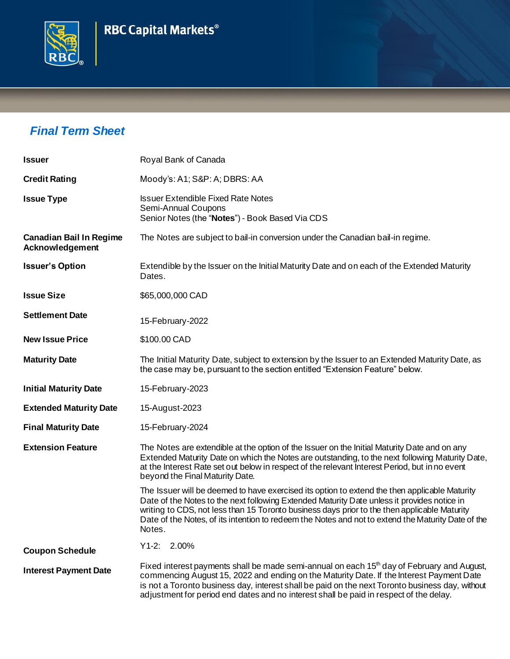## **RBC Capital Markets<sup>®</sup>**



## *Final Term Sheet*

| <b>Issuer</b>                                     | Royal Bank of Canada                                                                                                                                                                                                                                                                                                                                                                                         |  |  |
|---------------------------------------------------|--------------------------------------------------------------------------------------------------------------------------------------------------------------------------------------------------------------------------------------------------------------------------------------------------------------------------------------------------------------------------------------------------------------|--|--|
| <b>Credit Rating</b>                              | Moody's: A1; S&P: A; DBRS: AA                                                                                                                                                                                                                                                                                                                                                                                |  |  |
| <b>Issue Type</b>                                 | <b>Issuer Extendible Fixed Rate Notes</b><br>Semi-Annual Coupons<br>Senior Notes (the "Notes") - Book Based Via CDS                                                                                                                                                                                                                                                                                          |  |  |
| <b>Canadian Bail In Regime</b><br>Acknowledgement | The Notes are subject to bail-in conversion under the Canadian bail-in regime.                                                                                                                                                                                                                                                                                                                               |  |  |
| <b>Issuer's Option</b>                            | Extendible by the Issuer on the Initial Maturity Date and on each of the Extended Maturity<br>Dates.                                                                                                                                                                                                                                                                                                         |  |  |
| <b>Issue Size</b>                                 | \$65,000,000 CAD                                                                                                                                                                                                                                                                                                                                                                                             |  |  |
| <b>Settlement Date</b>                            | 15-February-2022                                                                                                                                                                                                                                                                                                                                                                                             |  |  |
| <b>New Issue Price</b>                            | \$100.00 CAD                                                                                                                                                                                                                                                                                                                                                                                                 |  |  |
| <b>Maturity Date</b>                              | The Initial Maturity Date, subject to extension by the Issuer to an Extended Maturity Date, as<br>the case may be, pursuant to the section entitled "Extension Feature" below.                                                                                                                                                                                                                               |  |  |
| <b>Initial Maturity Date</b>                      | 15-February-2023                                                                                                                                                                                                                                                                                                                                                                                             |  |  |
| <b>Extended Maturity Date</b>                     | 15-August-2023                                                                                                                                                                                                                                                                                                                                                                                               |  |  |
| <b>Final Maturity Date</b>                        | 15-February-2024                                                                                                                                                                                                                                                                                                                                                                                             |  |  |
| <b>Extension Feature</b>                          | The Notes are extendible at the option of the Issuer on the Initial Maturity Date and on any<br>Extended Maturity Date on which the Notes are outstanding, to the next following Maturity Date,<br>at the Interest Rate set out below in respect of the relevant Interest Period, but in no event<br>beyond the Final Maturity Date.                                                                         |  |  |
|                                                   | The Issuer will be deemed to have exercised its option to extend the then applicable Maturity<br>Date of the Notes to the next following Extended Maturity Date unless it provides notice in<br>writing to CDS, not less than 15 Toronto business days prior to the then applicable Maturity<br>Date of the Notes, of its intention to redeem the Notes and not to extend the Maturity Date of the<br>Notes. |  |  |
| <b>Coupon Schedule</b>                            | $Y1-2: 2.00\%$                                                                                                                                                                                                                                                                                                                                                                                               |  |  |
| <b>Interest Payment Date</b>                      | Fixed interest payments shall be made semi-annual on each 15 <sup>th</sup> day of February and August,<br>commencing August 15, 2022 and ending on the Maturity Date. If the Interest Payment Date<br>is not a Toronto business day, interest shall be paid on the next Toronto business day, without<br>adjustment for period end dates and no interest shall be paid in respect of the delay.              |  |  |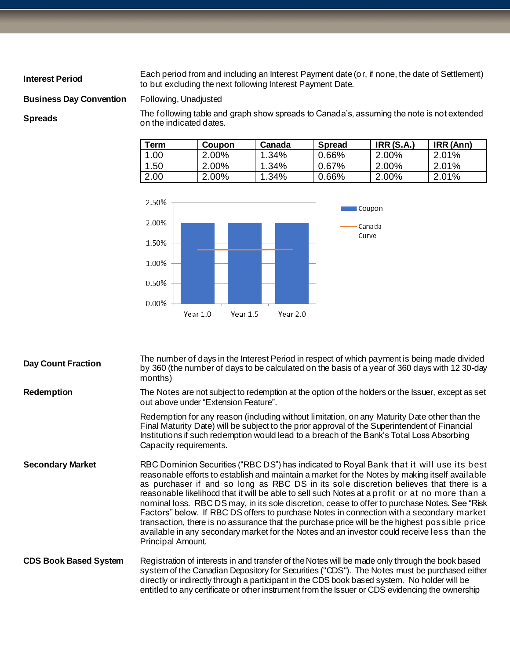**Interest Period** Each period from and including an Interest Payment date (or, if none, the date of Settlement) to but excluding the next following Interest Payment Date.

**Business Day Convention** Following, Unadjusted

**Spreads** The following table and graph show spreads to Canada's, assuming the note is not extended Spreads to Canada's, assuming the note is not extended the indicated dates.

| Term | <b>Coupon</b> | Canada | <b>Spread</b> | <b>IRR (S.A.)</b> | IRR (Ann) |
|------|---------------|--------|---------------|-------------------|-----------|
| .00  | $2.00\%$      | 1.34%  | 0.66%         | 2.00%             | $2.01\%$  |
| .50  | $2.00\%$      | 1.34%  | 0.67%         | 2.00%             | $2.01\%$  |
| 2.00 | 2.00%         | 1.34%  | 0.66%         | 2.00%             | 2.01%     |



| <b>Day Count Fraction</b>    | The number of days in the Interest Period in respect of which payment is being made divided<br>by 360 (the number of days to be calculated on the basis of a year of 360 days with 12 30-day<br>months)                                                                                                                                                                                                                                                                                                                                                                                                                                                                                                                                                                                                 |
|------------------------------|---------------------------------------------------------------------------------------------------------------------------------------------------------------------------------------------------------------------------------------------------------------------------------------------------------------------------------------------------------------------------------------------------------------------------------------------------------------------------------------------------------------------------------------------------------------------------------------------------------------------------------------------------------------------------------------------------------------------------------------------------------------------------------------------------------|
| <b>Redemption</b>            | The Notes are not subject to redemption at the option of the holders or the Issuer, except as set<br>out above under "Extension Feature".                                                                                                                                                                                                                                                                                                                                                                                                                                                                                                                                                                                                                                                               |
|                              | Redemption for any reason (including without limitation, on any Maturity Date other than the<br>Final Maturity Date) will be subject to the prior approval of the Superintendent of Financial<br>Institutions if such redemption would lead to a breach of the Bank's Total Loss Absorbing<br>Capacity requirements.                                                                                                                                                                                                                                                                                                                                                                                                                                                                                    |
| <b>Secondary Market</b>      | RBC Dominion Securities ("RBC DS") has indicated to Royal Bank that it will use its best<br>reasonable efforts to establish and maintain a market for the Notes by making itself available<br>as purchaser if and so long as RBC DS in its sole discretion believes that there is a<br>reasonable likelihood that it will be able to sell such Notes at a profit or at no more than a<br>nominal loss. RBC DS may, in its sole discretion, cease to offer to purchase Notes. See "Risk<br>Factors" below. If RBC DS offers to purchase Notes in connection with a secondary market<br>transaction, there is no assurance that the purchase price will be the highest possible price<br>available in any secondary market for the Notes and an investor could receive less than the<br>Principal Amount. |
| <b>CDS Book Based System</b> | Registration of interests in and transfer of the Notes will be made only through the book based<br>system of the Canadian Depository for Securities ("CDS"). The Notes must be purchased either<br>directly or indirectly through a participant in the CDS book based system. No holder will be<br>entitled to any certificate or other instrument from the Issuer or CDS evidencing the ownership                                                                                                                                                                                                                                                                                                                                                                                                      |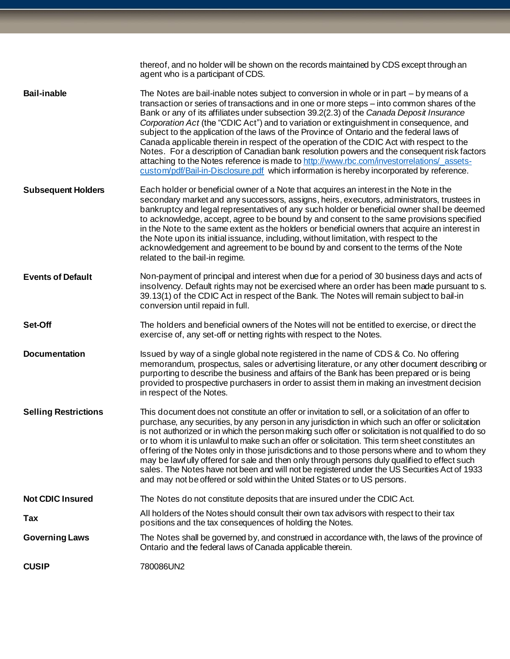|                             | thereof, and no holder will be shown on the records maintained by CDS except through an<br>agent who is a participant of CDS.                                                                                                                                                                                                                                                                                                                                                                                                                                                                                                                                                                                                                                                                                                                                    |
|-----------------------------|------------------------------------------------------------------------------------------------------------------------------------------------------------------------------------------------------------------------------------------------------------------------------------------------------------------------------------------------------------------------------------------------------------------------------------------------------------------------------------------------------------------------------------------------------------------------------------------------------------------------------------------------------------------------------------------------------------------------------------------------------------------------------------------------------------------------------------------------------------------|
| <b>Bail-inable</b>          | The Notes are bail-inable notes subject to conversion in whole or in part - by means of a<br>transaction or series of transactions and in one or more steps - into common shares of the<br>Bank or any of its affiliates under subsection 39.2(2.3) of the Canada Deposit Insurance<br>Corporation Act (the "CDIC Act") and to variation or extinguishment in consequence, and<br>subject to the application of the laws of the Province of Ontario and the federal laws of<br>Canada applicable therein in respect of the operation of the CDIC Act with respect to the<br>Notes. For a description of Canadian bank resolution powers and the consequent risk factors<br>attaching to the Notes reference is made to http://www.rbc.com/investorrelations/ assets-<br>custom/pdf/Bail-in-Disclosure.pdf which information is hereby incorporated by reference. |
| <b>Subsequent Holders</b>   | Each holder or beneficial owner of a Note that acquires an interest in the Note in the<br>secondary market and any successors, assigns, heirs, executors, administrators, trustees in<br>bankruptcy and legal representatives of any such holder or beneficial owner shall be deemed<br>to acknowledge, accept, agree to be bound by and consent to the same provisions specified<br>in the Note to the same extent as the holders or beneficial owners that acquire an interest in<br>the Note upon its initial issuance, including, without limitation, with respect to the<br>acknowledgement and agreement to be bound by and consent to the terms of the Note<br>related to the bail-in regime.                                                                                                                                                             |
| <b>Events of Default</b>    | Non-payment of principal and interest when due for a period of 30 business days and acts of<br>insolvency. Default rights may not be exercised where an order has been made pursuant to s.<br>39.13(1) of the CDIC Act in respect of the Bank. The Notes will remain subject to bail-in<br>conversion until repaid in full.                                                                                                                                                                                                                                                                                                                                                                                                                                                                                                                                      |
| Set-Off                     | The holders and beneficial owners of the Notes will not be entitled to exercise, or direct the<br>exercise of, any set-off or netting rights with respect to the Notes.                                                                                                                                                                                                                                                                                                                                                                                                                                                                                                                                                                                                                                                                                          |
| <b>Documentation</b>        | Issued by way of a single global note registered in the name of CDS & Co. No offering<br>memorandum, prospectus, sales or advertising literature, or any other document describing or<br>purporting to describe the business and affairs of the Bank has been prepared or is being<br>provided to prospective purchasers in order to assist them in making an investment decision<br>in respect of the Notes.                                                                                                                                                                                                                                                                                                                                                                                                                                                    |
| <b>Selling Restrictions</b> | This document does not constitute an offer or invitation to sell, or a solicitation of an offer to<br>purchase, any securities, by any person in any jurisdiction in which such an offer or solicitation<br>is not authorized or in which the person making such offer or solicitation is not qualified to do so<br>or to whom it is unlawful to make such an offer or solicitation. This term sheet constitutes an<br>offering of the Notes only in those jurisdictions and to those persons where and to whom they<br>may be lawfully offered for sale and then only through persons duly qualified to effect such<br>sales. The Notes have not been and will not be registered under the US Securities Act of 1933<br>and may not be offered or sold within the United States or to US persons.                                                               |
| <b>Not CDIC Insured</b>     | The Notes do not constitute deposits that are insured under the CDIC Act.                                                                                                                                                                                                                                                                                                                                                                                                                                                                                                                                                                                                                                                                                                                                                                                        |
| Tax                         | All holders of the Notes should consult their own tax advisors with respect to their tax<br>positions and the tax consequences of holding the Notes.                                                                                                                                                                                                                                                                                                                                                                                                                                                                                                                                                                                                                                                                                                             |
| <b>Governing Laws</b>       | The Notes shall be governed by, and construed in accordance with, the laws of the province of<br>Ontario and the federal laws of Canada applicable therein.                                                                                                                                                                                                                                                                                                                                                                                                                                                                                                                                                                                                                                                                                                      |
| <b>CUSIP</b>                | 780086UN2                                                                                                                                                                                                                                                                                                                                                                                                                                                                                                                                                                                                                                                                                                                                                                                                                                                        |